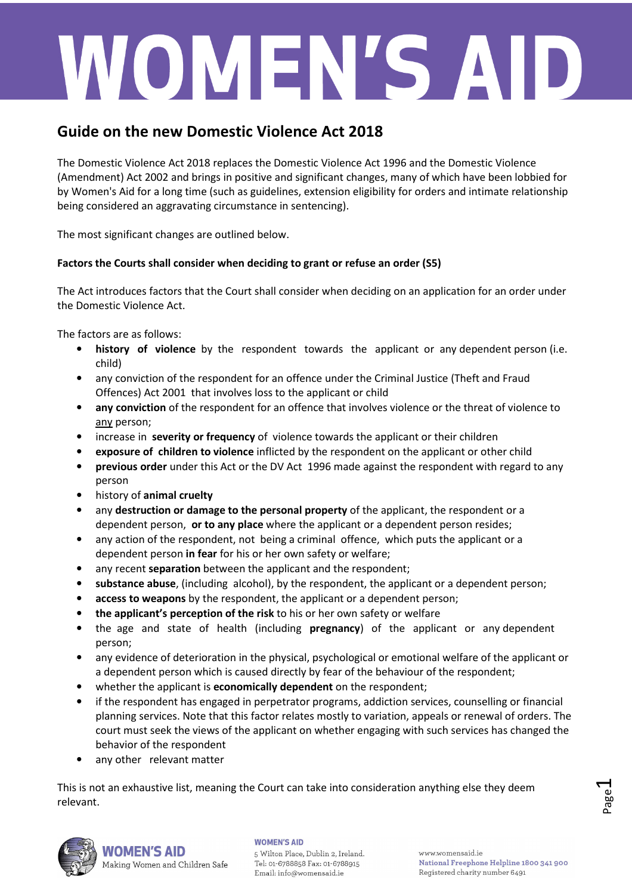# WOMEN'S AID

### **Guide on the new Domestic Violence Act 2018**

The Domestic Violence Act 2018 replaces the Domestic Violence Act 1996 and the Domestic Violence (Amendment) Act 2002 and brings in positive and significant changes, many of which have been lobbied for by Women's Aid for a long time (such as guidelines, extension eligibility for orders and intimate relationship being considered an aggravating circumstance in sentencing).

The most significant changes are outlined below.

### **Factors the Courts shall consider when deciding to grant or refuse an order (S5)**

The Act introduces factors that the Court shall consider when deciding on an application for an order under the Domestic Violence Act.

The factors are as follows:

- **history of violence** by the respondent towards the applicant or any dependent person (i.e. child)
- any conviction of the respondent for an offence under the Criminal Justice (Theft and Fraud Offences) Act 2001 that involves loss to the applicant or child
- **any conviction** of the respondent for an offence that involves violence or the threat of violence to any person;
- increase in **severity or frequency** of violence towards the applicant or their children
- **exposure of children to violence** inflicted by the respondent on the applicant or other child
- **previous order** under this Act or the DV Act 1996 made against the respondent with regard to any person
- history of **animal cruelty**
- any **destruction or damage to the personal property** of the applicant, the respondent or a dependent person, **or to any place** where the applicant or a dependent person resides;
- any action of the respondent, not being a criminal offence, which puts the applicant or a dependent person **in fear** for his or her own safety or welfare;
- any recent **separation** between the applicant and the respondent;
- **substance abuse**, (including alcohol), by the respondent, the applicant or a dependent person;
- **access to weapons** by the respondent, the applicant or a dependent person;
- **the applicant's perception of the risk** to his or her own safety or welfare
- the age and state of health (including **pregnancy**) of the applicant or any dependent person;
- any evidence of deterioration in the physical, psychological or emotional welfare of the applicant or a dependent person which is caused directly by fear of the behaviour of the respondent;
- whether the applicant is **economically dependent** on the respondent;
- if the respondent has engaged in perpetrator programs, addiction services, counselling or financial planning services. Note that this factor relates mostly to variation, appeals or renewal of orders. The court must seek the views of the applicant on whether engaging with such services has changed the behavior of the respondent
- any other relevant matter

Making Women and Children Safe

This is not an exhaustive list, meaning the Court can take into consideration anything else they deem relevant.



### **WOMEN'S AID VOMEN'S AID**

5 Wilton Place, Dublin 2, Ireland. Tel: 01-6788858 Fax: 01-6788915 Email: info@womensaid.ie

www.womensaid.ie National Freephone Helpline 1800 341 900 Registered charity number 6491

Page  $\overline{\phantom{0}}$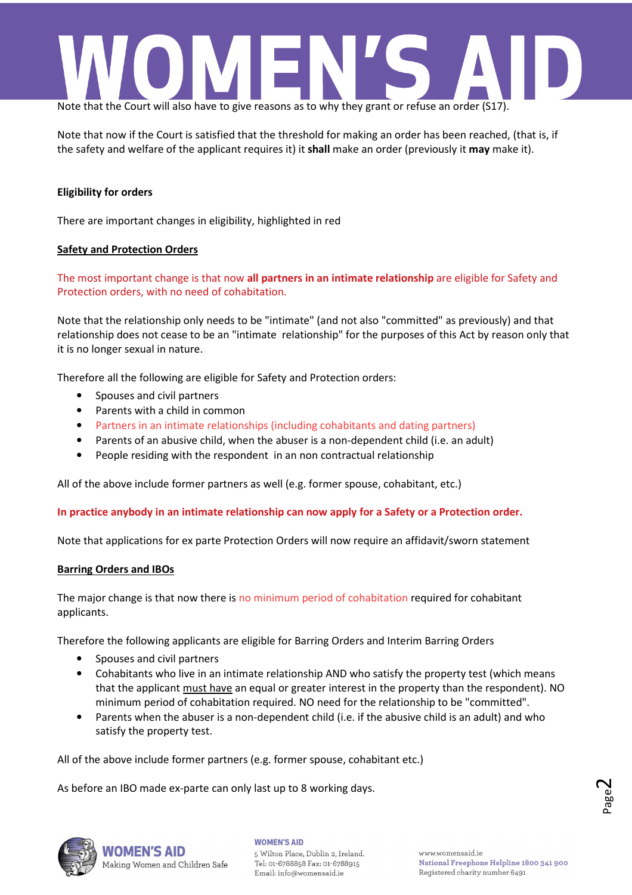

Note that now if the Court is satisfied that the threshold for making an order has been reached, (that is, if the safety and welfare of the applicant requires it) it **shall** make an order (previously it **may** make it).

### **Eligibility for orders**

There are important changes in eligibility, highlighted in red

### **Safety and Protection Orders**

The most important change is that now **all partners in an intimate relationship** are eligible for Safety and Protection orders, with no need of cohabitation.

Note that the relationship only needs to be "intimate" (and not also "committed" as previously) and that relationship does not cease to be an "intimate relationship" for the purposes of this Act by reason only that it is no longer sexual in nature.

Therefore all the following are eligible for Safety and Protection orders:

- Spouses and civil partners
- Parents with a child in common
- Partners in an intimate relationships (including cohabitants and dating partners)
- Parents of an abusive child, when the abuser is a non-dependent child (i.e. an adult)
- People residing with the respondent in an non contractual relationship

All of the above include former partners as well (e.g. former spouse, cohabitant, etc.)

**In practice anybody in an intimate relationship can now apply for a Safety or a Protection order.**

Note that applications for ex parte Protection Orders will now require an affidavit/sworn statement

### **Barring Orders and IBOs**

The major change is that now there is no minimum period of cohabitation required for cohabitant applicants.

Therefore the following applicants are eligible for Barring Orders and Interim Barring Orders

- Spouses and civil partners
- Cohabitants who live in an intimate relationship AND who satisfy the property test (which means that the applicant must have an equal or greater interest in the property than the respondent). NO minimum period of cohabitation required. NO need for the relationship to be "committed".
- Parents when the abuser is a non-dependent child (i.e. if the abusive child is an adult) and who satisfy the property test.

All of the above include former partners (e.g. former spouse, cohabitant etc.)

As before an IBO made ex-parte can only last up to 8 working days.



Making Women and Children Safe

### **WOMEN'S AID**

5 Wilton Place, Dublin 2, Ireland. Tel: 01-6788858 Fax: 01-6788915 Email: info@womensaid.ie

www.womensaid.ie National Freephone Helpline 1800 341 900 Registered charity number 6491

Page  $\boldsymbol{\sim}$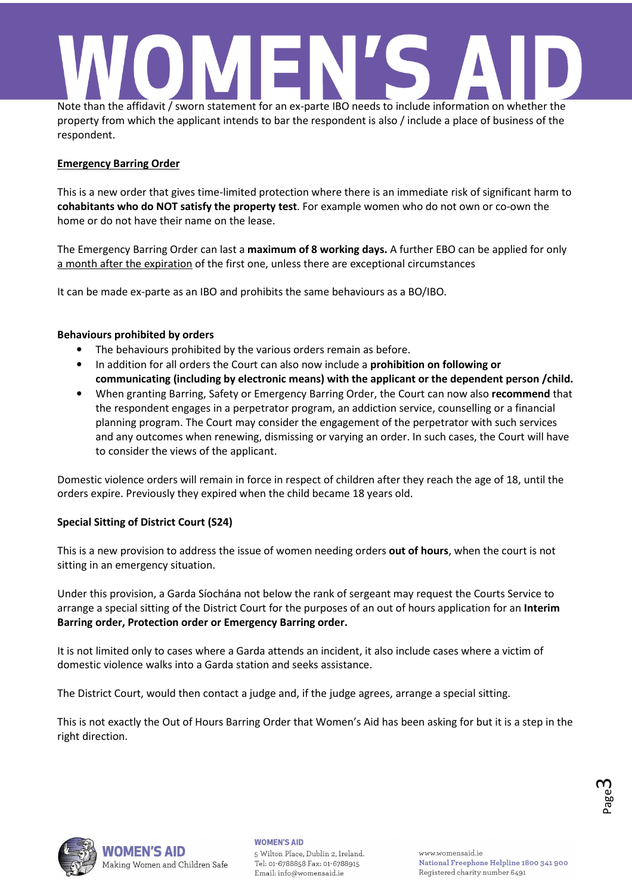## Note than the affidavit / sworn statement for an ex-parte IBO needs to include information on whether the

property from which the applicant intends to bar the respondent is also / include a place of business of the respondent.

### **Emergency Barring Order**

This is a new order that gives time-limited protection where there is an immediate risk of significant harm to **cohabitants who do NOT satisfy the property test**. For example women who do not own or co-own the home or do not have their name on the lease.

The Emergency Barring Order can last a **maximum of 8 working days.** A further EBO can be applied for only a month after the expiration of the first one, unless there are exceptional circumstances

It can be made ex-parte as an IBO and prohibits the same behaviours as a BO/IBO.

### **Behaviours prohibited by orders**

- The behaviours prohibited by the various orders remain as before.
- In addition for all orders the Court can also now include a **prohibition on following or communicating (including by electronic means) with the applicant or the dependent person /child.**
- When granting Barring, Safety or Emergency Barring Order, the Court can now also **recommend** that the respondent engages in a perpetrator program, an addiction service, counselling or a financial planning program. The Court may consider the engagement of the perpetrator with such services and any outcomes when renewing, dismissing or varying an order. In such cases, the Court will have to consider the views of the applicant.

Domestic violence orders will remain in force in respect of children after they reach the age of 18, until the orders expire. Previously they expired when the child became 18 years old.

### **Special Sitting of District Court (S24)**

This is a new provision to address the issue of women needing orders **out of hours**, when the court is not sitting in an emergency situation.

Under this provision, a Garda Síochána not below the rank of sergeant may request the Courts Service to arrange a special sitting of the District Court for the purposes of an out of hours application for an **Interim Barring order, Protection order or Emergency Barring order.**

It is not limited only to cases where a Garda attends an incident, it also include cases where a victim of domestic violence walks into a Garda station and seeks assistance.

The District Court, would then contact a judge and, if the judge agrees, arrange a special sitting.

This is not exactly the Out of Hours Barring Order that Women's Aid has been asking for but it is a step in the right direction.



Page ო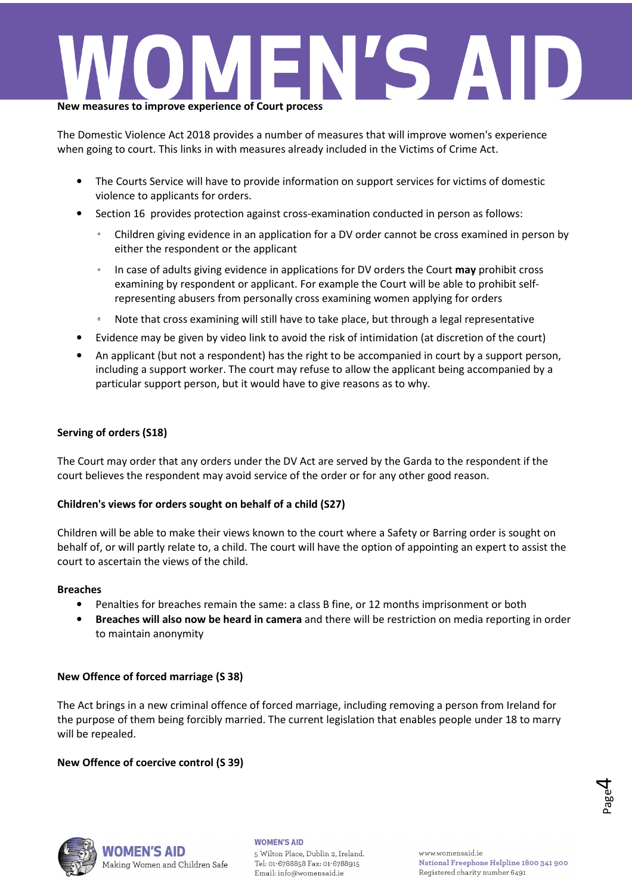

The Domestic Violence Act 2018 provides a number of measures that will improve women's experience when going to court. This links in with measures already included in the Victims of Crime Act.

- The Courts Service will have to provide information on support services for victims of domestic violence to applicants for orders.
- Section 16 provides protection against cross-examination conducted in person as follows:
	- Children giving evidence in an application for a DV order cannot be cross examined in person by either the respondent or the applicant
	- In case of adults giving evidence in applications for DV orders the Court **may** prohibit cross examining by respondent or applicant. For example the Court will be able to prohibit selfrepresenting abusers from personally cross examining women applying for orders
	- Note that cross examining will still have to take place, but through a legal representative
- Evidence may be given by video link to avoid the risk of intimidation (at discretion of the court)
- An applicant (but not a respondent) has the right to be accompanied in court by a support person, including a support worker. The court may refuse to allow the applicant being accompanied by a particular support person, but it would have to give reasons as to why.

### **Serving of orders (S18)**

The Court may order that any orders under the DV Act are served by the Garda to the respondent if the court believes the respondent may avoid service of the order or for any other good reason.

### **Children's views for orders sought on behalf of a child (S27)**

Children will be able to make their views known to the court where a Safety or Barring order is sought on behalf of, or will partly relate to, a child. The court will have the option of appointing an expert to assist the court to ascertain the views of the child.

### **Breaches**

- Penalties for breaches remain the same: a class B fine, or 12 months imprisonment or both
- **Breaches will also now be heard in camera** and there will be restriction on media reporting in order to maintain anonymity

### **New Offence of forced marriage (S 38)**

The Act brings in a new criminal offence of forced marriage, including removing a person from Ireland for the purpose of them being forcibly married. The current legislation that enables people under 18 to marry will be repealed.

### **New Offence of coercive control (S 39)**





Making Women and Children Safe

### **WOMEN'S AID**

5 Wilton Place, Dublin 2, Ireland. Tel: 01-6788858 Fax: 01-6788915 Email: info@womensaid.ie

www.womensaid.ie National Freephone Helpline 1800 341 900 Registered charity number 6491